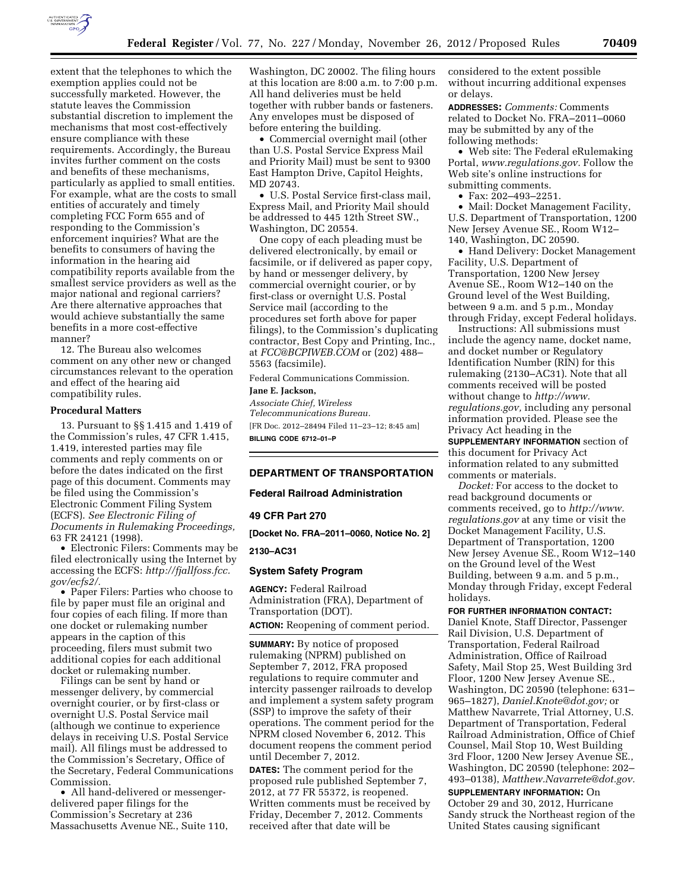

extent that the telephones to which the exemption applies could not be successfully marketed. However, the statute leaves the Commission substantial discretion to implement the mechanisms that most cost-effectively ensure compliance with these requirements. Accordingly, the Bureau invites further comment on the costs and benefits of these mechanisms, particularly as applied to small entities. For example, what are the costs to small entities of accurately and timely completing FCC Form 655 and of responding to the Commission's enforcement inquiries? What are the benefits to consumers of having the information in the hearing aid compatibility reports available from the smallest service providers as well as the major national and regional carriers? Are there alternative approaches that would achieve substantially the same benefits in a more cost-effective manner?

12. The Bureau also welcomes comment on any other new or changed circumstances relevant to the operation and effect of the hearing aid compatibility rules.

#### **Procedural Matters**

13. Pursuant to §§ 1.415 and 1.419 of the Commission's rules, 47 CFR 1.415, 1.419, interested parties may file comments and reply comments on or before the dates indicated on the first page of this document. Comments may be filed using the Commission's Electronic Comment Filing System (ECFS). *See Electronic Filing of Documents in Rulemaking Proceedings,*  63 FR 24121 (1998).

• Electronic Filers: Comments may be filed electronically using the Internet by accessing the ECFS: *[http://fjallfoss.fcc.](http://fjallfoss.fcc.gov/ecfs2/) [gov/ecfs2/.](http://fjallfoss.fcc.gov/ecfs2/)* 

• Paper Filers: Parties who choose to file by paper must file an original and four copies of each filing. If more than one docket or rulemaking number appears in the caption of this proceeding, filers must submit two additional copies for each additional docket or rulemaking number.

Filings can be sent by hand or messenger delivery, by commercial overnight courier, or by first-class or overnight U.S. Postal Service mail (although we continue to experience delays in receiving U.S. Postal Service mail). All filings must be addressed to the Commission's Secretary, Office of the Secretary, Federal Communications Commission.

• All hand-delivered or messengerdelivered paper filings for the Commission's Secretary at 236 Massachusetts Avenue NE., Suite 110, Washington, DC 20002. The filing hours at this location are 8:00 a.m. to 7:00 p.m. All hand deliveries must be held together with rubber bands or fasteners. Any envelopes must be disposed of before entering the building.

• Commercial overnight mail (other than U.S. Postal Service Express Mail and Priority Mail) must be sent to 9300 East Hampton Drive, Capitol Heights, MD 20743.

• U.S. Postal Service first-class mail, Express Mail, and Priority Mail should be addressed to 445 12th Street SW., Washington, DC 20554.

One copy of each pleading must be delivered electronically, by email or facsimile, or if delivered as paper copy, by hand or messenger delivery, by commercial overnight courier, or by first-class or overnight U.S. Postal Service mail (according to the procedures set forth above for paper filings), to the Commission's duplicating contractor, Best Copy and Printing, Inc., at *[FCC@BCPIWEB.COM](mailto:FCC@BCPIWEB.COM)* or (202) 488– 5563 (facsimile).

Federal Communications Commission.

#### **Jane E. Jackson,**

*Associate Chief, Wireless Telecommunications Bureau.*  [FR Doc. 2012–28494 Filed 11–23–12; 8:45 am] **BILLING CODE 6712–01–P** 

# **DEPARTMENT OF TRANSPORTATION**

### **Federal Railroad Administration**

**49 CFR Part 270** 

**[Docket No. FRA–2011–0060, Notice No. 2]** 

# **2130–AC31**

#### **System Safety Program**

**AGENCY:** Federal Railroad Administration (FRA), Department of Transportation (DOT).

**ACTION:** Reopening of comment period.

**SUMMARY:** By notice of proposed rulemaking (NPRM) published on September 7, 2012, FRA proposed regulations to require commuter and intercity passenger railroads to develop and implement a system safety program (SSP) to improve the safety of their operations. The comment period for the NPRM closed November 6, 2012. This document reopens the comment period until December 7, 2012.

**DATES:** The comment period for the proposed rule published September 7, 2012, at 77 FR 55372, is reopened. Written comments must be received by Friday, December 7, 2012. Comments received after that date will be

considered to the extent possible without incurring additional expenses or delays.

**ADDRESSES:** *Comments:* Comments related to Docket No. FRA–2011–0060 may be submitted by any of the following methods:

• Web site: The Federal eRulemaking Portal, *[www.regulations.gov.](http://www.regulations.gov)* Follow the Web site's online instructions for submitting comments.

• Fax: 202–493–2251.

• Mail: Docket Management Facility, U.S. Department of Transportation, 1200 New Jersey Avenue SE., Room W12– 140, Washington, DC 20590.

• Hand Delivery: Docket Management Facility, U.S. Department of Transportation, 1200 New Jersey Avenue SE., Room W12–140 on the Ground level of the West Building, between 9 a.m. and 5 p.m., Monday through Friday, except Federal holidays.

Instructions: All submissions must include the agency name, docket name, and docket number or Regulatory Identification Number (RIN) for this rulemaking (2130–AC31). Note that all comments received will be posted without change to *[http://www.](http://www.regulations.gov) [regulations.gov,](http://www.regulations.gov)* including any personal information provided. Please see the Privacy Act heading in the

**SUPPLEMENTARY INFORMATION** section of this document for Privacy Act information related to any submitted comments or materials.

*Docket:* For access to the docket to read background documents or comments received, go to *[http://www.](http://www.regulations.gov) [regulations.gov](http://www.regulations.gov)* at any time or visit the Docket Management Facility, U.S. Department of Transportation, 1200 New Jersey Avenue SE., Room W12–140 on the Ground level of the West Building, between 9 a.m. and 5 p.m., Monday through Friday, except Federal holidays.

**FOR FURTHER INFORMATION CONTACT:** 

Daniel Knote, Staff Director, Passenger Rail Division, U.S. Department of Transportation, Federal Railroad Administration, Office of Railroad Safety, Mail Stop 25, West Building 3rd Floor, 1200 New Jersey Avenue SE., Washington, DC 20590 (telephone: 631– 965–1827), *[Daniel.Knote@dot.gov;](mailto:Daniel.Knote@dot.gov)* or Matthew Navarrete, Trial Attorney, U.S. Department of Transportation, Federal Railroad Administration, Office of Chief Counsel, Mail Stop 10, West Building 3rd Floor, 1200 New Jersey Avenue SE., Washington, DC 20590 (telephone: 202– 493–0138), *[Matthew.Navarrete@dot.gov.](mailto:Matthew.Navarrete@dot.gov)* 

**SUPPLEMENTARY INFORMATION:** On October 29 and 30, 2012, Hurricane Sandy struck the Northeast region of the United States causing significant